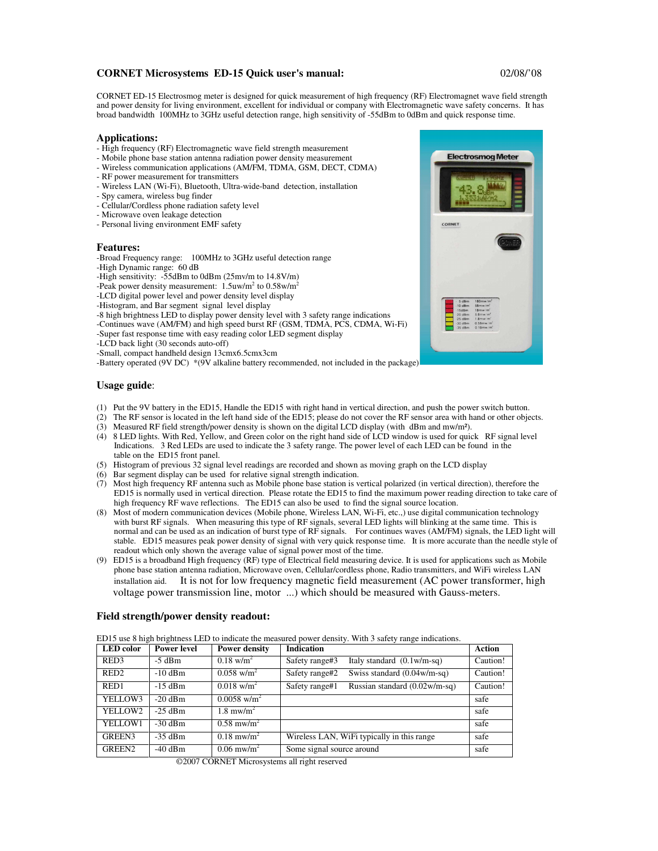## **CORNET Microsystems ED-15 Quick user's manual:** 02/08/'08

CORNET ED-15 Electrosmog meter is designed for quick measurement of high frequency (RF) Electromagnet wave field strength and power density for living environment, excellent for individual or company with Electromagnetic wave safety concerns. It has broad bandwidth 100MHz to 3GHz useful detection range, high sensitivity of -55dBm to 0dBm and quick response time.

### **Applications:**

- High frequency (RF) Electromagnetic wave field strength measurement
- Mobile phone base station antenna radiation power density measurement
- Wireless communication applications (AM/FM, TDMA, GSM, DECT, CDMA)
- RF power measurement for transmitters - Wireless LAN (Wi-Fi), Bluetooth, Ultra-wide-band detection, installation
- Spy camera, wireless bug finder
- Cellular/Cordless phone radiation safety level
- Microwave oven leakage detection
- Personal living environment EMF safety

#### **Features:**

-Broad Frequency range: 100MHz to 3GHz useful detection range

- -High Dynamic range: 60 dB
- -High sensitivity: -55dBm to 0dBm (25mv/m to 14.8V/m)
- -Peak power density measurement:  $1.5$ uw/m<sup>2</sup> to  $0.58$ w/m<sup>2</sup>
- -LCD digital power level and power density level display
- -Histogram, and Bar segment signal level display
- -8 high brightness LED to display power density level with 3 safety range indications
- -Continues wave (AM/FM) and high speed burst RF (GSM, TDMA, PCS, CDMA, Wi-Fi)
- -Super fast response time with easy reading color LED segment display
- -LCD back light (30 seconds auto-off)
- -Small, compact handheld design 13cmx6.5cmx3cm

-Battery operated (9V DC) \*(9V alkaline battery recommended, not included in the package)

# **Usage guide**:

- (1) Put the 9V battery in the ED15, Handle the ED15 with right hand in vertical direction, and push the power switch button.
- (2) The RF sensor is located in the left hand side of the ED15; please do not cover the RF sensor area with hand or other objects.
- (3) Measured RF field strength/power density is shown on the digital LCD display (with dBm and mw/m²).
- (4) 8 LED lights. With Red, Yellow, and Green color on the right hand side of LCD window is used for quick RF signal level Indications. 3 Red LEDs are used to indicate the 3 safety range. The power level of each LED can be found in the table on the ED15 front panel.
- (5) Histogram of previous 32 signal level readings are recorded and shown as moving graph on the LCD display
- (6) Bar segment display can be used for relative signal strength indication.
- (7) Most high frequency RF antenna such as Mobile phone base station is vertical polarized (in vertical direction), therefore the ED15 is normally used in vertical direction. Please rotate the ED15 to find the maximum power reading direction to take care of high frequency RF wave reflections. The ED15 can also be used to find the signal source location.
- (8) Most of modern communication devices (Mobile phone, Wireless LAN, Wi-Fi, etc.,) use digital communication technology with burst RF signals. When measuring this type of RF signals, several LED lights will blinking at the same time. This is normal and can be used as an indication of burst type of RF signals. For continues waves (AM/FM) signals, the LED light will stable. ED15 measures peak power density of signal with very quick response time. It is more accurate than the needle style of readout which only shown the average value of signal power most of the time.
- (9) ED15 is a broadband High frequency (RF) type of Electrical field measuring device. It is used for applications such as Mobile phone base station antenna radiation, Microwave oven, Cellular/cordless phone, Radio transmitters, and WiFi wireless LAN installation aid. It is not for low frequency magnetic field measurement (AC power transformer, high voltage power transmission line, motor ...) which should be measured with Gauss-meters.

### **Field strength/power density readout:**

ED15 use 8 high brightness LED to indicate the measured power density. With 3 safety range indications.

| <b>LED</b> color | <b>Power level</b> | <b>Power density</b>              | <b>Indication</b>                                         | Action   |
|------------------|--------------------|-----------------------------------|-----------------------------------------------------------|----------|
| RED3             | $-5$ dBm           | $0.18 \text{ w/m}^2$              | Italy standard $(0.1 \text{w/m-sq})$<br>Safety range#3    | Caution! |
| RED <sub>2</sub> | $-10$ dBm          | $0.058$ w/m <sup>2</sup>          | Swiss standard $(0.04 \text{w/m-sq})$<br>Safety range#2   | Caution! |
| RED1             | $-15$ dBm          | $0.018$ w/m <sup>2</sup>          | Russian standard $(0.02 \text{w/m-sq})$<br>Safety range#1 | Caution! |
| YELLOW3          | $-20$ dBm          | $0.0058$ w/m <sup>2</sup>         |                                                           | safe     |
| YELLOW2          | $-25$ dBm          | $1.8 \text{ m}\text{w/m}^2$       |                                                           | safe     |
| YELLOW1          | $-30$ dBm          | $0.58$ mw/m <sup>2</sup>          |                                                           | safe     |
| GREEN3           | $-35$ dBm          | $0.18 \text{ m} \text{w/m}^2$     | Wireless LAN, WiFi typically in this range                | safe     |
| GREEN2           | $-40$ dBm          | $0.06 \text{ m}$ w/m <sup>2</sup> | Some signal source around                                 | safe     |

 <sup>©2007</sup> CORNET Microsystems all right reserved